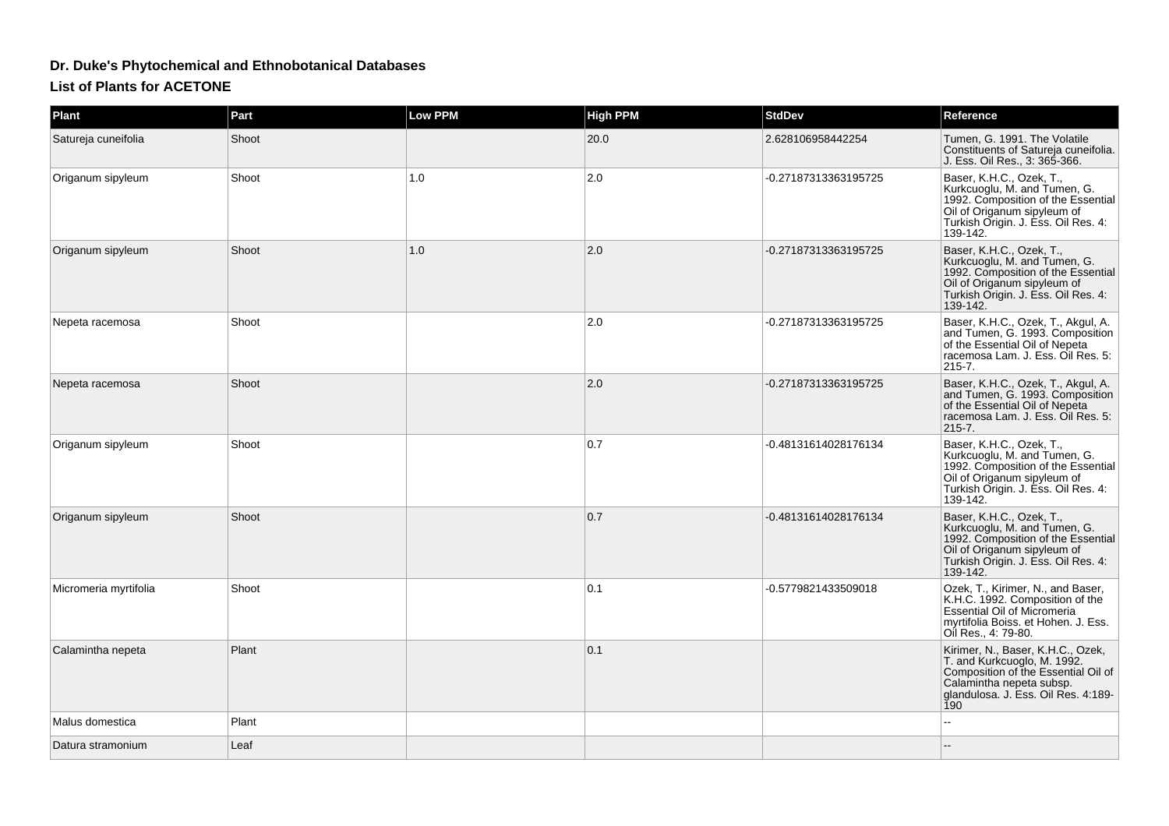## **Dr. Duke's Phytochemical and Ethnobotanical Databases**

## **List of Plants for ACETONE**

| Plant                 | Part  | <b>Low PPM</b> | <b>High PPM</b> | <b>StdDev</b>        | Reference                                                                                                                                                                         |
|-----------------------|-------|----------------|-----------------|----------------------|-----------------------------------------------------------------------------------------------------------------------------------------------------------------------------------|
| Satureja cuneifolia   | Shoot |                | 20.0            | 2.628106958442254    | Tumen, G. 1991. The Volatile<br>Constituents of Satureja cuneifolia.<br>J. Ess. Oil Res., 3: 365-366.                                                                             |
| Origanum sipyleum     | Shoot | 1.0            | 2.0             | -0.27187313363195725 | Baser, K.H.C., Ozek, T.,<br>Kurkcuoglu, M. and Tumen, G.<br>1992. Composition of the Essential<br>Oil of Origanum sipyleum of<br>Turkish Origin. J. Ess. Oil Res. 4:<br>139-142.  |
| Origanum sipyleum     | Shoot | 1.0            | 2.0             | -0.27187313363195725 | Baser, K.H.C., Ozek, T.,<br>Kurkcuoglu, M. and Tumen, G.<br>1992. Composition of the Essential<br>Oil of Origanum sipyleum of<br>Turkish Origin. J. Ess. Oil Res. 4:<br>139-142.  |
| Nepeta racemosa       | Shoot |                | 2.0             | -0.27187313363195725 | Baser, K.H.C., Ozek, T., Akgul, A.<br>and Tumen, G. 1993. Composition<br>of the Essential Oil of Nepeta<br>racemosa Lam. J. Ess. Oil Res. 5:<br>215-7.                            |
| Nepeta racemosa       | Shoot |                | 2.0             | -0.27187313363195725 | Baser, K.H.C., Ozek, T., Akgul, A.<br>and Tumen, G. 1993. Composition<br>of the Essential Oil of Nepeta<br>racemosa Lam. J. Ess. Oil Res. 5:<br>$ 215 - 7 $ .                     |
| Origanum sipyleum     | Shoot |                | 0.7             | -0.48131614028176134 | Baser, K.H.C., Ozek, T.,<br>Kurkcuoglu, M. and Tumen, G.<br>1992. Composition of the Essential<br>Oil of Origanum sipyleum of<br>Turkish Origin. J. Ess. Oil Res. 4:<br>139-142.  |
| Origanum sipyleum     | Shoot |                | 0.7             | -0.48131614028176134 | Baser, K.H.C., Ozek, T.,<br>Kurkcuoglu, M. and Tumen, G.<br>1992. Composition of the Essential<br>Oil of Origanum sipyleum of<br>Turkish Origin. J. Ess. Oil Res. 4:<br>139-142.  |
| Micromeria myrtifolia | Shoot |                | 0.1             | -0.5779821433509018  | Ozek, T., Kirimer, N., and Baser,<br>K.H.C. 1992. Composition of the<br><b>Essential Oil of Micromeria</b><br>myrtifolia Boiss. et Hohen. J. Ess.<br>Oil Res., 4: 79-80.          |
| Calamintha nepeta     | Plant |                | 0.1             |                      | Kirimer, N., Baser, K.H.C., Ozek,<br>T. and Kurkcuoglo, M. 1992.<br>Composition of the Essential Oil of<br>Calamintha nepeta subsp.<br>glandulosa. J. Ess. Oil Res. 4:189-<br>190 |
| Malus domestica       | Plant |                |                 |                      |                                                                                                                                                                                   |
| Datura stramonium     | Leaf  |                |                 |                      |                                                                                                                                                                                   |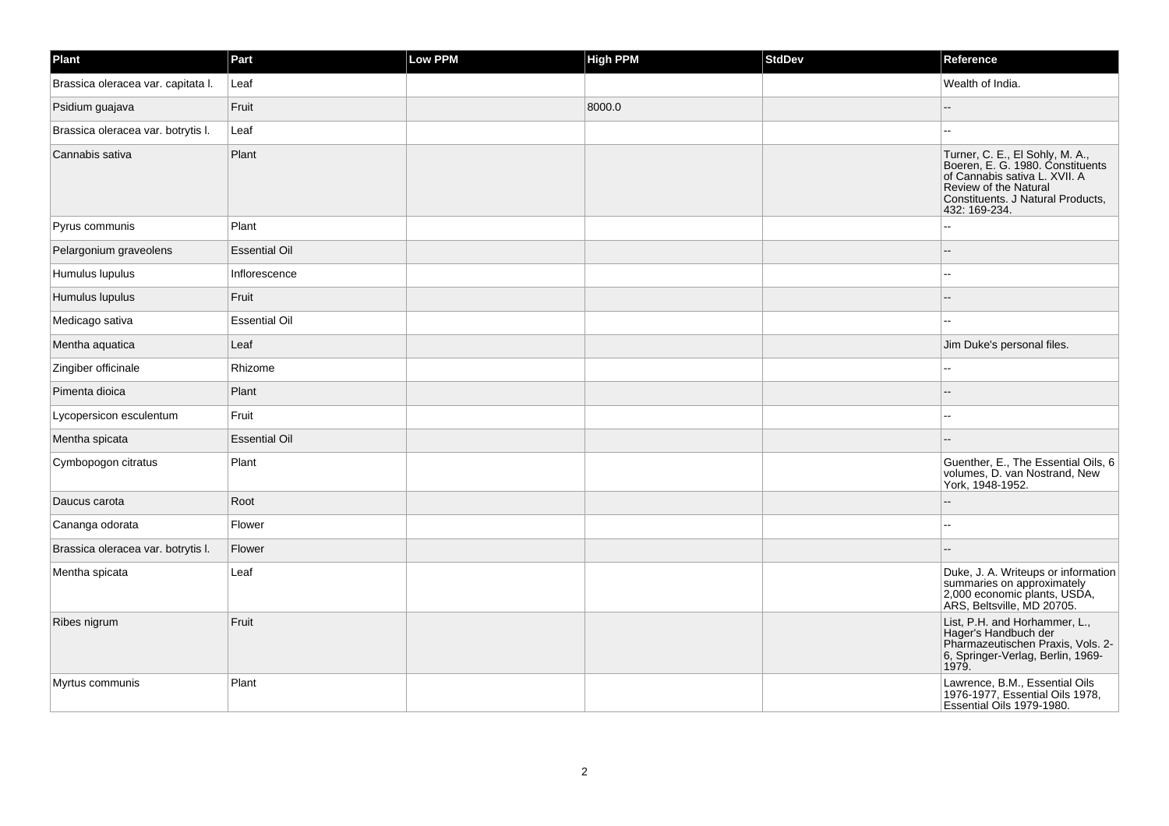| Plant                              | Part                 | <b>Low PPM</b> | <b>High PPM</b> | <b>StdDev</b> | Reference                                                                                                                                                                                  |
|------------------------------------|----------------------|----------------|-----------------|---------------|--------------------------------------------------------------------------------------------------------------------------------------------------------------------------------------------|
| Brassica oleracea var. capitata I. | Leaf                 |                |                 |               | Wealth of India.                                                                                                                                                                           |
| Psidium guajava                    | Fruit                |                | 8000.0          |               | $\overline{\phantom{a}}$                                                                                                                                                                   |
| Brassica oleracea var. botrytis I. | Leaf                 |                |                 |               |                                                                                                                                                                                            |
| Cannabis sativa                    | Plant                |                |                 |               | Turner, C. E., El Sohly, M. A.,<br>Boeren, E. G. 1980. Constituents<br>of Cannabis sativa L. XVII. A<br><b>Review of the Natural</b><br>Constituents. J Natural Products,<br>432: 169-234. |
| Pyrus communis                     | Plant                |                |                 |               | $\overline{a}$                                                                                                                                                                             |
| Pelargonium graveolens             | <b>Essential Oil</b> |                |                 |               |                                                                                                                                                                                            |
| Humulus lupulus                    | Inflorescence        |                |                 |               | $\sim$                                                                                                                                                                                     |
| Humulus lupulus                    | Fruit                |                |                 |               |                                                                                                                                                                                            |
| Medicago sativa                    | <b>Essential Oil</b> |                |                 |               | ä.                                                                                                                                                                                         |
| Mentha aquatica                    | Leaf                 |                |                 |               | Jim Duke's personal files.                                                                                                                                                                 |
| Zingiber officinale                | Rhizome              |                |                 |               |                                                                                                                                                                                            |
| Pimenta dioica                     | Plant                |                |                 |               |                                                                                                                                                                                            |
| Lycopersicon esculentum            | Fruit                |                |                 |               |                                                                                                                                                                                            |
| Mentha spicata                     | <b>Essential Oil</b> |                |                 |               |                                                                                                                                                                                            |
| Cymbopogon citratus                | Plant                |                |                 |               | Guenther, E., The Essential Oils, 6<br>volumes, D. van Nostrand, New<br>York, 1948-1952.                                                                                                   |
| Daucus carota                      | Root                 |                |                 |               |                                                                                                                                                                                            |
| Cananga odorata                    | Flower               |                |                 |               | ä.                                                                                                                                                                                         |
| Brassica oleracea var. botrytis I. | Flower               |                |                 |               |                                                                                                                                                                                            |
| Mentha spicata                     | Leaf                 |                |                 |               | Duke, J. A. Writeups or information<br>summaries on approximately<br>2,000 economic plants, USDA,<br>ARS, Beltsville, MD 20705.                                                            |
| Ribes nigrum                       | Fruit                |                |                 |               | List, P.H. and Horhammer, L.,<br>Hager's Handbuch der<br>Pharmazeutischen Praxis, Vols. 2-<br>6, Springer-Verlag, Berlin, 1969-<br>1979.                                                   |
| Myrtus communis                    | Plant                |                |                 |               | Lawrence, B.M., Essential Oils<br>1976-1977, Essential Oils 1978,<br>Essential Oils 1979-1980.                                                                                             |